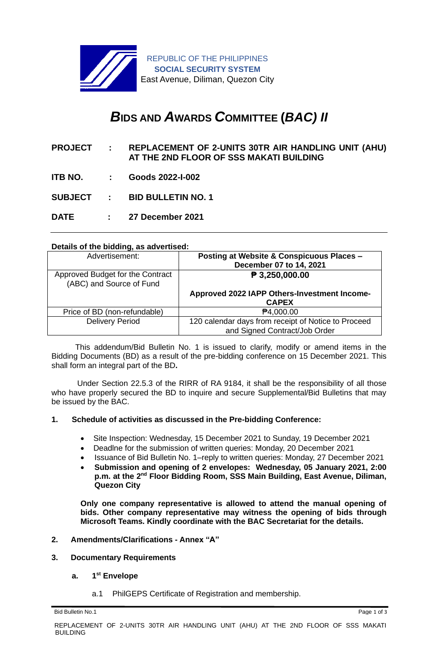

# *B***IDS AND** *A***WARDS** *C***OMMITTEE (***BAC) II*

- **PROJECT : REPLACEMENT OF 2-UNITS 30TR AIR HANDLING UNIT (AHU) AT THE 2ND FLOOR OF SSS MAKATI BUILDING**
- **ITB NO. : Goods 2022-I-002**
- **SUBJECT : BID BULLETIN NO. 1**
- **DATE : 27 December 2021**

## **Details of the bidding, as advertised:**

| Advertisement:                                               | Posting at Website & Conspicuous Places -<br>December 07 to 14, 2021                 |
|--------------------------------------------------------------|--------------------------------------------------------------------------------------|
| Approved Budget for the Contract<br>(ABC) and Source of Fund | $\sqrt{P}$ 3,250,000.00                                                              |
|                                                              | Approved 2022 IAPP Others-Investment Income-<br><b>CAPEX</b>                         |
| Price of BD (non-refundable)                                 | <b>₱4,000.00</b>                                                                     |
| <b>Delivery Period</b>                                       | 120 calendar days from receipt of Notice to Proceed<br>and Signed Contract/Job Order |

 This addendum/Bid Bulletin No. 1 is issued to clarify, modify or amend items in the Bidding Documents (BD) as a result of the pre-bidding conference on 15 December 2021. This shall form an integral part of the BD**.**

Under Section 22.5.3 of the RIRR of RA 9184, it shall be the responsibility of all those who have properly secured the BD to inquire and secure Supplemental/Bid Bulletins that may be issued by the BAC.

# **1. Schedule of activities as discussed in the Pre-bidding Conference:**

- Site Inspection: Wednesday, 15 December 2021 to Sunday, 19 December 2021
- Deadlne for the submission of written queries: Monday, 20 December 2021
- Issuance of Bid Bulletin No. 1–reply to written queries: Monday, 27 December 2021
- **Submission and opening of 2 envelopes: Wednesday, 05 January 2021, 2:00**  p.m. at the 2<sup>nd</sup> Floor Bidding Room, SSS Main Building, East Avenue, Diliman, **Quezon City**

**Only one company representative is allowed to attend the manual opening of bids. Other company representative may witness the opening of bids through Microsoft Teams. Kindly coordinate with the BAC Secretariat for the details.**

# **2. Amendments/Clarifications - Annex "A"**

#### **3. Documentary Requirements**

#### **a. 1 st Envelope**

a.1 PhilGEPS Certificate of Registration and membership.

Bid Bulletin No.1 Page 1 of 3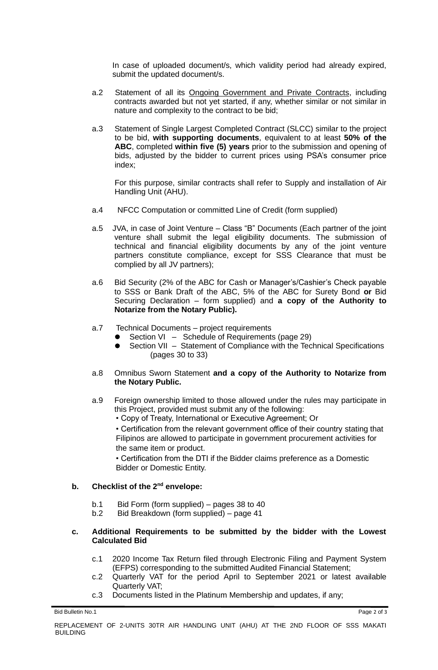In case of uploaded document/s, which validity period had already expired, submit the updated document/s.

- a.2 Statement of all its Ongoing Government and Private Contracts, including contracts awarded but not yet started, if any, whether similar or not similar in nature and complexity to the contract to be bid;
- a.3 Statement of Single Largest Completed Contract (SLCC) similar to the project to be bid, **with supporting documents**, equivalent to at least **50% of the ABC**, completed **within five (5) years** prior to the submission and opening of bids, adjusted by the bidder to current prices using PSA's consumer price index;

For this purpose, similar contracts shall refer to Supply and installation of Air Handling Unit (AHU).

- a.4 NFCC Computation or committed Line of Credit (form supplied)
- a.5 JVA, in case of Joint Venture Class "B" Documents (Each partner of the joint venture shall submit the legal eligibility documents. The submission of technical and financial eligibility documents by any of the joint venture partners constitute compliance, except for SSS Clearance that must be complied by all JV partners);
- a.6 Bid Security (2% of the ABC for Cash or Manager's/Cashier's Check payable to SSS or Bank Draft of the ABC, 5% of the ABC for Surety Bond **or** Bid Securing Declaration – form supplied) and **a copy of the Authority to Notarize from the Notary Public).**
- a.7 Technical Documents project requirements
	- Section VI Schedule of Requirements (page 29)
	- Section VII Statement of Compliance with the Technical Specifications (pages 30 to 33)
- a.8 Omnibus Sworn Statement **and a copy of the Authority to Notarize from the Notary Public.**
- a.9 Foreign ownership limited to those allowed under the rules may participate in this Project, provided must submit any of the following:
	- Copy of Treaty, International or Executive Agreement; Or

• Certification from the relevant government office of their country stating that Filipinos are allowed to participate in government procurement activities for the same item or product.

• Certification from the DTI if the Bidder claims preference as a Domestic Bidder or Domestic Entity.

# **b. Checklist of the 2nd envelope:**

- b.1 Bid Form (form supplied) pages 38 to 40
- b.2 Bid Breakdown (form supplied) page 41

## **c. Additional Requirements to be submitted by the bidder with the Lowest Calculated Bid**

- c.1 2020 Income Tax Return filed through Electronic Filing and Payment System (EFPS) corresponding to the submitted Audited Financial Statement;
- c.2 Quarterly VAT for the period April to September 2021 or latest available Quarterly VAT;
- c.3 Documents listed in the Platinum Membership and updates, if any;

Bid Bulletin No.1 Page 2 of 3